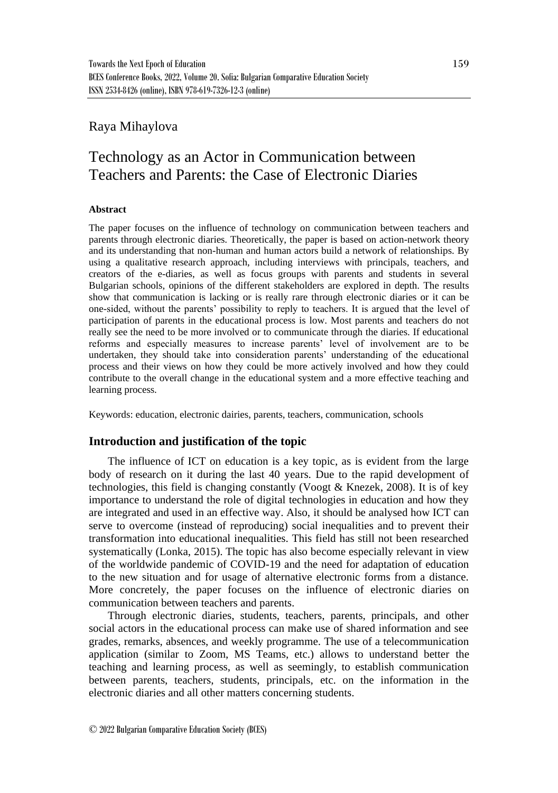## Raya Mihaylova

# Technology as an Actor in Communication between Teachers and Parents: the Case of Electronic Diaries

## **Abstract**

The paper focuses on the influence of technology on communication between teachers and parents through electronic diaries. Theoretically, the paper is based on action-network theory and its understanding that non-human and human actors build a network of relationships. By using a qualitative research approach, including interviews with principals, teachers, and creators of the e-diaries, as well as focus groups with parents and students in several Bulgarian schools, opinions of the different stakeholders are explored in depth. The results show that communication is lacking or is really rare through electronic diaries or it can be one-sided, without the parents' possibility to reply to teachers. It is argued that the level of participation of parents in the educational process is low. Most parents and teachers do not really see the need to be more involved or to communicate through the diaries. If educational reforms and especially measures to increase parents' level of involvement are to be undertaken, they should take into consideration parents' understanding of the educational process and their views on how they could be more actively involved and how they could contribute to the overall change in the educational system and a more effective teaching and learning process.

Keywords: education, electronic dairies, parents, teachers, communication, schools

## **Introduction and justification of the topic**

The influence of ICT on education is a key topic, as is evident from the large body of research on it during the last 40 years. Due to the rapid development of technologies, this field is changing constantly (Voogt & Knezek, 2008). It is of key importance to understand the role of digital technologies in education and how they are integrated and used in an effective way. Also, it should be analysed how ICT can serve to overcome (instead of reproducing) social inequalities and to prevent their transformation into educational inequalities. This field has still not been researched systematically (Lonka, 2015). The topic has also become especially relevant in view of the worldwide pandemic of COVID-19 and the need for adaptation of education to the new situation and for usage of alternative electronic forms from a distance. More concretely, the paper focuses on the influence of electronic diaries on communication between teachers and parents.

Through electronic diaries, students, teachers, parents, principals, and other social actors in the educational process can make use of shared information and see grades, remarks, absences, and weekly programme. The use of a telecommunication application (similar to Zoom, MS Teams, etc.) allows to understand better the teaching and learning process, as well as seemingly, to establish communication between parents, teachers, students, principals, etc. on the information in the electronic diaries and all other matters concerning students.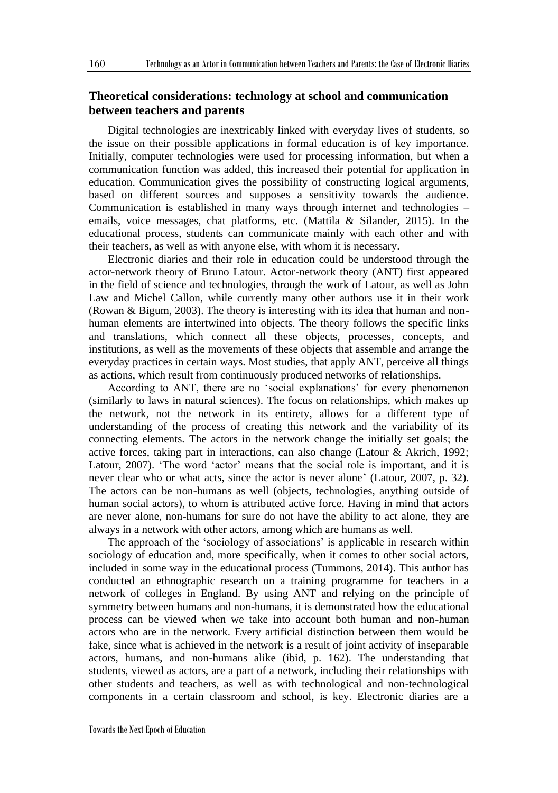## **Theoretical considerations: technology at school and communication between teachers and parents**

Digital technologies are inextricably linked with everyday lives of students, so the issue on their possible applications in formal education is of key importance. Initially, computer technologies were used for processing information, but when a communication function was added, this increased their potential for application in education. Communication gives the possibility of constructing logical arguments, based on different sources and supposes a sensitivity towards the audience. Communication is established in many ways through internet and technologies – emails, voice messages, chat platforms, etc. (Mattila & Silander, 2015). In the educational process, students can communicate mainly with each other and with their teachers, as well as with anyone else, with whom it is necessary.

Electronic diaries and their role in education could be understood through the actor-network theory of Bruno Latour. Actor-network theory (ANT) first appeared in the field of science and technologies, through the work of Latour, as well as John Law and Michel Callon, while currently many other authors use it in their work (Rowan & Bigum, 2003). The theory is interesting with its idea that human and nonhuman elements are intertwined into objects. The theory follows the specific links and translations, which connect all these objects, processes, concepts, and institutions, as well as the movements of these objects that assemble and arrange the everyday practices in certain ways. Most studies, that apply ANT, perceive all things as actions, which result from continuously produced networks of relationships.

According to ANT, there are no 'social explanations' for every phenomenon (similarly to laws in natural sciences). The focus on relationships, which makes up the network, not the network in its entirety, allows for a different type of understanding of the process of creating this network and the variability of its connecting elements. The actors in the network change the initially set goals; the active forces, taking part in interactions, can also change (Latour & Akrich, 1992; Latour, 2007). 'The word 'actor' means that the social role is important, and it is never clear who or what acts, since the actor is never alone' (Latour, 2007, p. 32). The actors can be non-humans as well (objects, technologies, anything outside of human social actors), to whom is attributed active force. Having in mind that actors are never alone, non-humans for sure do not have the ability to act alone, they are always in a network with other actors, among which are humans as well.

The approach of the 'sociology of associations' is applicable in research within sociology of education and, more specifically, when it comes to other social actors, included in some way in the educational process (Tummons, 2014). This author has conducted an ethnographic research on a training programme for teachers in a network of colleges in England. By using ANT and relying on the principle of symmetry between humans and non-humans, it is demonstrated how the educational process can be viewed when we take into account both human and non-human actors who are in the network. Every artificial distinction between them would be fake, since what is achieved in the network is a result of joint activity of inseparable actors, humans, and non-humans alike (ibid, p. 162). The understanding that students, viewed as actors, are a part of a network, including their relationships with other students and teachers, as well as with technological and non-technological components in a certain classroom and school, is key. Electronic diaries are a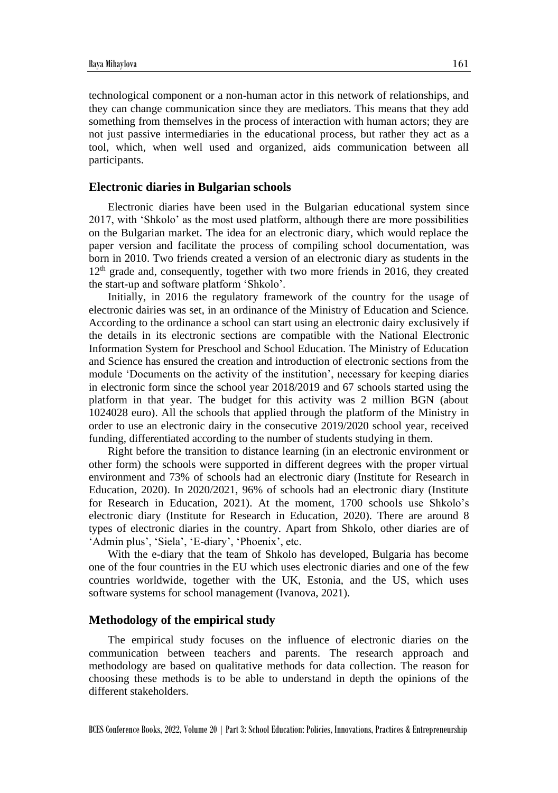technological component or a non-human actor in this network of relationships, and they can change communication since they are mediators. This means that they add something from themselves in the process of interaction with human actors; they are not just passive intermediaries in the educational process, but rather they act as a tool, which, when well used and organized, aids communication between all participants.

#### **Electronic diaries in Bulgarian schools**

Electronic diaries have been used in the Bulgarian educational system since 2017, with 'Shkolo' as the most used platform, although there are more possibilities on the Bulgarian market. The idea for an electronic diary, which would replace the paper version and facilitate the process of compiling school documentation, was born in 2010. Two friends created a version of an electronic diary as students in the 12<sup>th</sup> grade and, consequently, together with two more friends in 2016, they created the start-up and software platform 'Shkolo'.

Initially, in 2016 the regulatory framework of the country for the usage of electronic dairies was set, in an ordinance of the Ministry of Education and Science. According to the ordinance a school can start using an electronic dairy exclusively if the details in its electronic sections are compatible with the National Electronic Information System for Preschool and School Education. The Ministry of Education and Science has ensured the creation and introduction of electronic sections from the module 'Documents on the activity of the institution', necessary for keeping diaries in electronic form since the school year 2018/2019 and 67 schools started using the platform in that year. The budget for this activity was 2 million BGN (about 1024028 euro). All the schools that applied through the platform of the Ministry in order to use an electronic dairy in the consecutive 2019/2020 school year, received funding, differentiated according to the number of students studying in them.

Right before the transition to distance learning (in an electronic environment or other form) the schools were supported in different degrees with the proper virtual environment and 73% of schools had an electronic diary (Institute for Research in Education, 2020). In 2020/2021, 96% of schools had an electronic diary (Institute for Research in Education, 2021). At the moment, 1700 schools use Shkolo's electronic diary (Institute for Research in Education, 2020). There are around 8 types of electronic diaries in the country. Apart from Shkolo, other diaries are of 'Admin plus', 'Siela', 'E-diary', 'Phoenix', etc.

With the e-diary that the team of Shkolo has developed, Bulgaria has become one of the four countries in the EU which uses electronic diaries and one of the few countries worldwide, together with the UK, Estonia, and the US, which uses software systems for school management (Ivanova, 2021).

#### **Methodology of the empirical study**

The empirical study focuses on the influence of electronic diaries on the communication between teachers and parents. The research approach and methodology are based on qualitative methods for data collection. The reason for choosing these methods is to be able to understand in depth the opinions of the different stakeholders.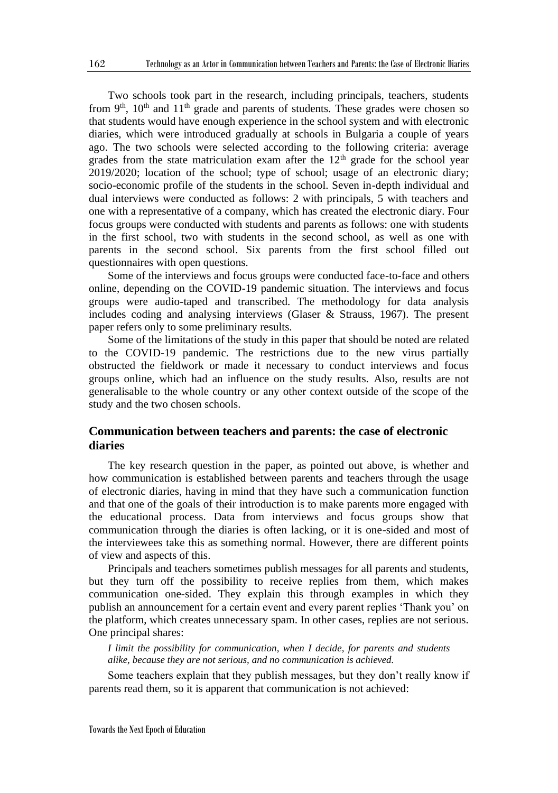Two schools took part in the research, including principals, teachers, students from  $9<sup>th</sup>$ ,  $10<sup>th</sup>$  and  $11<sup>th</sup>$  grade and parents of students. These grades were chosen so that students would have enough experience in the school system and with electronic diaries, which were introduced gradually at schools in Bulgaria a couple of years ago. The two schools were selected according to the following criteria: average grades from the state matriculation exam after the  $12<sup>th</sup>$  grade for the school year 2019/2020; location of the school; type of school; usage of an electronic diary; socio-economic profile of the students in the school. Seven in-depth individual and dual interviews were conducted as follows: 2 with principals, 5 with teachers and one with a representative of a company, which has created the electronic diary. Four focus groups were conducted with students and parents as follows: one with students in the first school, two with students in the second school, as well as one with parents in the second school. Six parents from the first school filled out questionnaires with open questions.

Some of the interviews and focus groups were conducted face-to-face and others online, depending on the COVID-19 pandemic situation. The interviews and focus groups were audio-taped and transcribed. The methodology for data analysis includes coding and analysing interviews (Glaser & Strauss, 1967). The present paper refers only to some preliminary results.

Some of the limitations of the study in this paper that should be noted are related to the COVID-19 pandemic. The restrictions due to the new virus partially obstructed the fieldwork or made it necessary to conduct interviews and focus groups online, which had an influence on the study results. Also, results are not generalisable to the whole country or any other context outside of the scope of the study and the two chosen schools.

## **Communication between teachers and parents: the case of electronic diaries**

The key research question in the paper, as pointed out above, is whether and how communication is established between parents and teachers through the usage of electronic diaries, having in mind that they have such a communication function and that one of the goals of their introduction is to make parents more engaged with the educational process. Data from interviews and focus groups show that communication through the diaries is often lacking, or it is one-sided and most of the interviewees take this as something normal. However, there are different points of view and aspects of this.

Principals and teachers sometimes publish messages for all parents and students, but they turn off the possibility to receive replies from them, which makes communication one-sided. They explain this through examples in which they publish an announcement for a certain event and every parent replies 'Thank you' on the platform, which creates unnecessary spam. In other cases, replies are not serious. One principal shares:

*I limit the possibility for communication, when I decide, for parents and students alike, because they are not serious, and no communication is achieved.* 

Some teachers explain that they publish messages, but they don't really know if parents read them, so it is apparent that communication is not achieved: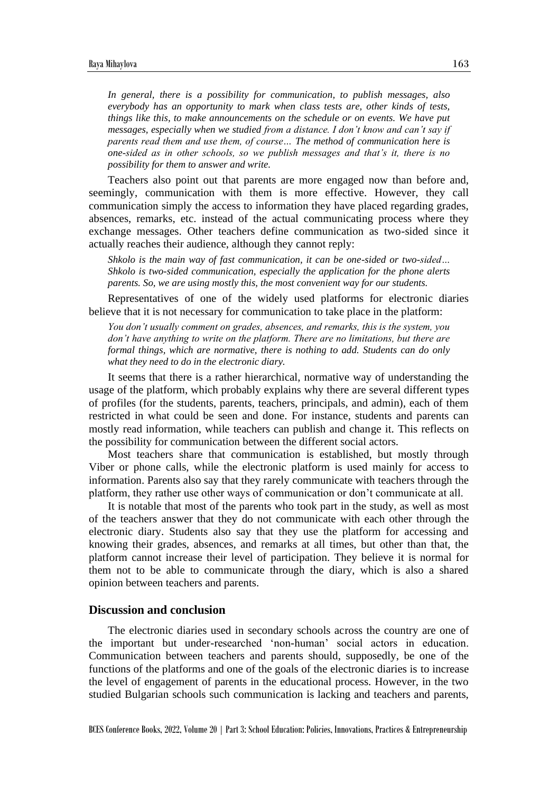*In general, there is a possibility for communication, to publish messages, also everybody has an opportunity to mark when class tests are, other kinds of tests, things like this, to make announcements on the schedule or on events. We have put messages, especially when we studied from a distance. I don't know and can't say if parents read them and use them, of course… The method of communication here is one-sided as in other schools, so we publish messages and that's it, there is no possibility for them to answer and write.*

Teachers also point out that parents are more engaged now than before and, seemingly, communication with them is more effective. However, they call communication simply the access to information they have placed regarding grades, absences, remarks, etc. instead of the actual communicating process where they exchange messages. Other teachers define communication as two-sided since it actually reaches their audience, although they cannot reply:

*Shkolo is the main way of fast communication, it can be one-sided or two-sided… Shkolo is two-sided communication, especially the application for the phone alerts parents. So, we are using mostly this, the most convenient way for our students.*

Representatives of one of the widely used platforms for electronic diaries believe that it is not necessary for communication to take place in the platform:

*You don't usually comment on grades, absences, and remarks, this is the system, you don't have anything to write on the platform. There are no limitations, but there are formal things, which are normative, there is nothing to add. Students can do only what they need to do in the electronic diary.*

It seems that there is a rather hierarchical, normative way of understanding the usage of the platform, which probably explains why there are several different types of profiles (for the students, parents, teachers, principals, and admin), each of them restricted in what could be seen and done. For instance, students and parents can mostly read information, while teachers can publish and change it. This reflects on the possibility for communication between the different social actors.

Most teachers share that communication is established, but mostly through Viber or phone calls, while the electronic platform is used mainly for access to information. Parents also say that they rarely communicate with teachers through the platform, they rather use other ways of communication or don't communicate at all.

It is notable that most of the parents who took part in the study, as well as most of the teachers answer that they do not communicate with each other through the electronic diary. Students also say that they use the platform for accessing and knowing their grades, absences, and remarks at all times, but other than that, the platform cannot increase their level of participation. They believe it is normal for them not to be able to communicate through the diary, which is also a shared opinion between teachers and parents.

#### **Discussion and conclusion**

The electronic diaries used in secondary schools across the country are one of the important but under-researched 'non-human' social actors in education. Communication between teachers and parents should, supposedly, be one of the functions of the platforms and one of the goals of the electronic diaries is to increase the level of engagement of parents in the educational process. However, in the two studied Bulgarian schools such communication is lacking and teachers and parents,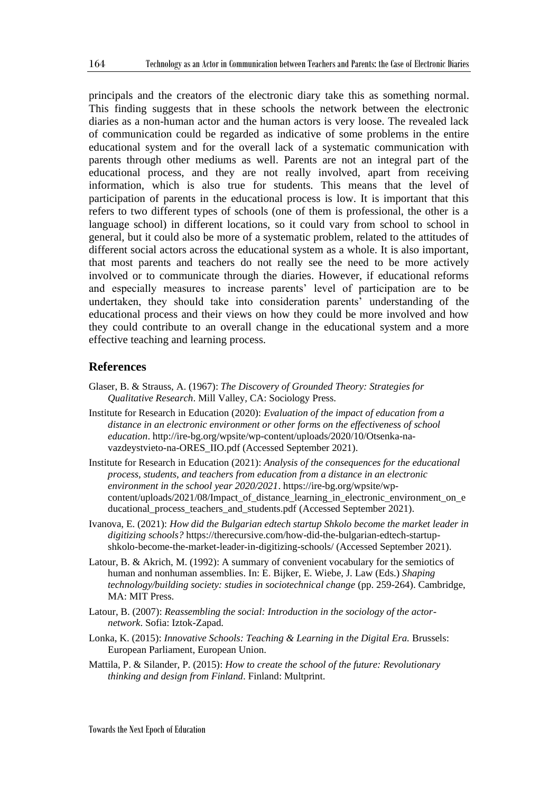principals and the creators of the electronic diary take this as something normal. This finding suggests that in these schools the network between the electronic diaries as a non-human actor and the human actors is very loose. The revealed lack of communication could be regarded as indicative of some problems in the entire educational system and for the overall lack of a systematic communication with parents through other mediums as well. Parents are not an integral part of the educational process, and they are not really involved, apart from receiving information, which is also true for students. This means that the level of participation of parents in the educational process is low. It is important that this refers to two different types of schools (one of them is professional, the other is a language school) in different locations, so it could vary from school to school in general, but it could also be more of a systematic problem, related to the attitudes of different social actors across the educational system as a whole. It is also important, that most parents and teachers do not really see the need to be more actively involved or to communicate through the diaries. However, if educational reforms and especially measures to increase parents' level of participation are to be undertaken, they should take into consideration parents' understanding of the educational process and their views on how they could be more involved and how they could contribute to an overall change in the educational system and a more effective teaching and learning process.

## **References**

- Glaser, B. & Strauss, A. (1967): *The Discovery of Grounded Theory: Strategies for Qualitative Research*. Mill Valley, CA: Sociology Press.
- Institute for Research in Education (2020): *Evaluation of the impact of education from a distance in an electronic environment or other forms on the effectiveness of school education*. http://ire-bg.org/wpsite/wp-content/uploads/2020/10/Otsenka-navazdeystvieto-na-ORES\_IIO.pdf (Accessed September 2021).
- Institute for Research in Education (2021): *Analysis of the consequences for the educational process, students, and teachers from education from a distance in an electronic environment in the school year 2020/2021*. https://ire-bg.org/wpsite/wpcontent/uploads/2021/08/Impact\_of\_distance\_learning\_in\_electronic\_environment\_on\_e ducational\_process\_teachers\_and\_students.pdf (Accessed September 2021).
- Ivanova, E. (2021): *How did the Bulgarian edtech startup Shkolo become the market leader in digitizing schools?* https://therecursive.com/how-did-the-bulgarian-edtech-startupshkolo-become-the-market-leader-in-digitizing-schools/ (Accessed September 2021).
- Latour, B. & Akrich, M. (1992): A summary of convenient vocabulary for the semiotics of human and nonhuman assemblies. In: E. Bijker, E. Wiebe, J. Law (Eds.) *Shaping technology/building society: studies in sociotechnical change* (pp. 259-264). Cambridge, MA: MIT Press.
- Latour, B. (2007): *Reassembling the social: Introduction in the sociology of the actornetwork*. Sofia: Iztok-Zapad.
- Lonka, K. (2015): *Innovative Schools: Teaching & Learning in the Digital Era.* Brussels: European Parliament, European Union.
- Mattila, P. & Silander, P. (2015): *How to create the school of the future: Revolutionary thinking and design from Finland*. Finland: Multprint.